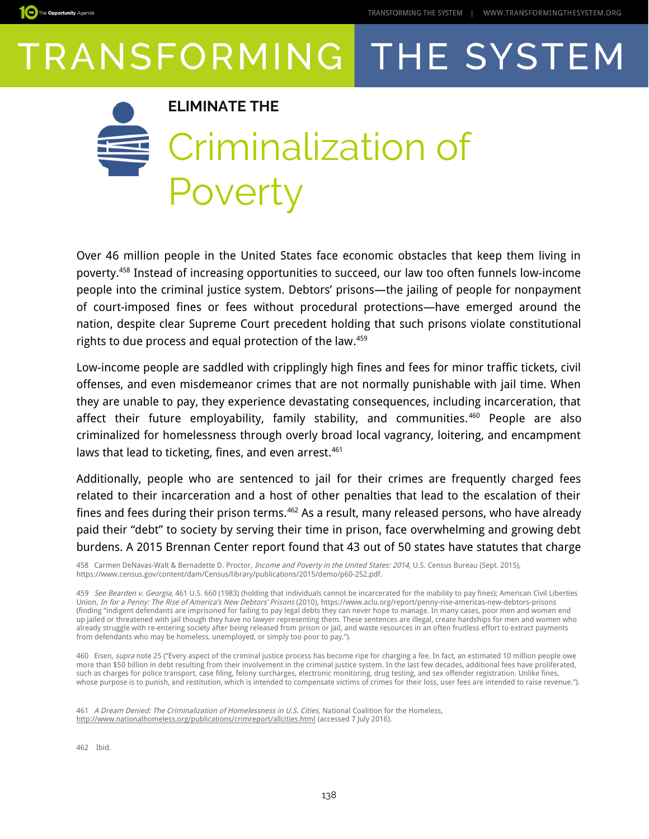



Over 46 million people in the United States face economic obstacles that keep them living in poverty.[458](#page-0-0) Instead of increasing opportunities to succeed, our law too often funnels low-income people into the criminal justice system. Debtors' prisons—the jailing of people for nonpayment of court-imposed fines or fees without procedural protections—have emerged around the nation, despite clear Supreme Court precedent holding that such prisons violate constitutional rights to due process and equal protection of the law. [459](#page-0-1)

Low-income people are saddled with cripplingly high fines and fees for minor traffic tickets, civil offenses, and even misdemeanor crimes that are not normally punishable with jail time. When they are unable to pay, they experience devastating consequences, including incarceration, that affect their future employability, family stability, and communities.<sup>[460](#page-0-2)</sup> People are also criminalized for homelessness through overly broad local vagrancy, loitering, and encampment laws that lead to ticketing, fines, and even arrest.<sup>[461](#page-0-3)</sup>

Additionally, people who are sentenced to jail for their crimes are frequently charged fees related to their incarceration and a host of other penalties that lead to the escalation of their fines and fees during their prison terms.<sup>[462](#page-0-4)</sup> As a result, many released persons, who have already paid their "debt" to society by serving their time in prison, face overwhelming and growing debt burdens. A 2015 Brennan Center report found that 43 out of 50 states have statutes that charge

<span id="page-0-0"></span>458 Carmen DeNavas-Walt & Bernadette D. Proctor, *Income and Poverty in the United States: 2014*, U.S. Census Bureau (Sept. 2015), https://www.census.gov/content/dam/Census/library/publications/2015/demo/p60-252.pdf.

<span id="page-0-1"></span>459 See Bearden v. Georgia, 461 U.S. 660 (1983) (holding that individuals cannot be incarcerated for the inability to pay fines); American Civil Liberties Union, In for a Penny: The Rise of America's New Debtors' Prisons (2010), https://www.aclu.org/report/penny-rise-americas-new-debtors-prisons (finding "indigent defendants are imprisoned for failing to pay legal debts they can never hope to manage. In many cases, poor men and women end up jailed or threatened with jail though they have no lawyer representing them. These sentences are illegal, create hardships for men and women who already struggle with re-entering society after being released from prison or jail, and waste resources in an often fruitless effort to extract payments from defendants who may be homeless, unemployed, or simply too poor to pay.").

<span id="page-0-2"></span>460 Eisen, supra note 25 ("Every aspect of the criminal justice process has become ripe for charging a fee. In fact, an estimated 10 million people owe more than \$50 billion in debt resulting from their involvement in the criminal justice system. In the last few decades, additional fees have proliferated, such as charges for police transport, case filing, felony surcharges, electronic monitoring, drug testing, and sex offender registration. Unlike fines, whose purpose is to punish, and restitution, which is intended to compensate victims of crimes for their loss, user fees are intended to raise revenue.").

<span id="page-0-3"></span>461 A Dream Denied: The Criminalization of Homelessness in U.S. Cities, National Coalition for the Homeless, <http://www.nationalhomeless.org/publications/crimreport/allcities.html>(accessed 7 July 2016).

<span id="page-0-4"></span>462 Ibid.

The Opportunity Agenda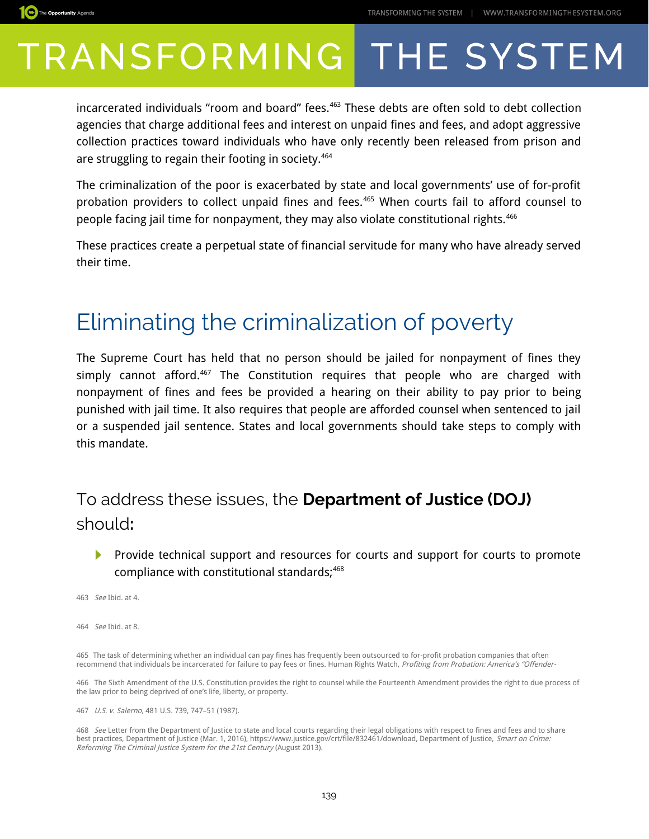

incarcerated individuals "room and board" fees.<sup>[463](#page-1-0)</sup> These debts are often sold to debt collection agencies that charge additional fees and interest on unpaid fines and fees, and adopt aggressive collection practices toward individuals who have only recently been released from prison and are struggling to regain their footing in society.<sup>[464](#page-1-1)</sup>

The criminalization of the poor is exacerbated by state and local governments' use of for-profit probation providers to collect unpaid fines and fees.<sup>[465](#page-1-2)</sup> When courts fail to afford counsel to people facing jail time for nonpayment, they may also violate constitutional rights.[466](#page-1-3)

These practices create a perpetual state of financial servitude for many who have already served their time.

### Eliminating the criminalization of poverty

The Supreme Court has held that no person should be jailed for nonpayment of fines they simply cannot afford. $467$  The Constitution requires that people who are charged with nonpayment of fines and fees be provided a hearing on their ability to pay prior to being punished with jail time. It also requires that people are afforded counsel when sentenced to jail or a suspended jail sentence. States and local governments should take steps to comply with this mandate.

### To address these issues, the **Department of Justice (DOJ)**  should**:**

▶ Provide technical support and resources for courts and support for courts to promote compliance with constitutional standards;<sup>[468](#page-1-5)</sup>

<span id="page-1-0"></span>463 See Ibid. at 4.

<span id="page-1-1"></span>464See Ibid. at 8.

<span id="page-1-2"></span>465 The task of determining whether an individual can pay fines has frequently been outsourced to for-profit probation companies that often recommend that individuals be incarcerated for failure to pay fees or fines. Human Rights Watch, Profiting from Probation: America's "Offender-

<span id="page-1-3"></span>466 The Sixth Amendment of the U.S. Constitution provides the right to counsel while the Fourteenth Amendment provides the right to due process of the law prior to being deprived of one's life, liberty, or property.

<span id="page-1-4"></span>467 U.S. v. Salerno, 481 U.S. 739, 747–51 (1987).

<span id="page-1-5"></span>468 See Letter from the Department of Justice to state and local courts regarding their legal obligations with respect to fines and fees and to share best practices, Department of Justice (Mar. 1, 2016), https://www.justice.gov/crt/file/832461/download, Department of Justice, *Smart on Crime:* Reforming The Criminal Justice System for the 21st Century (August 2013).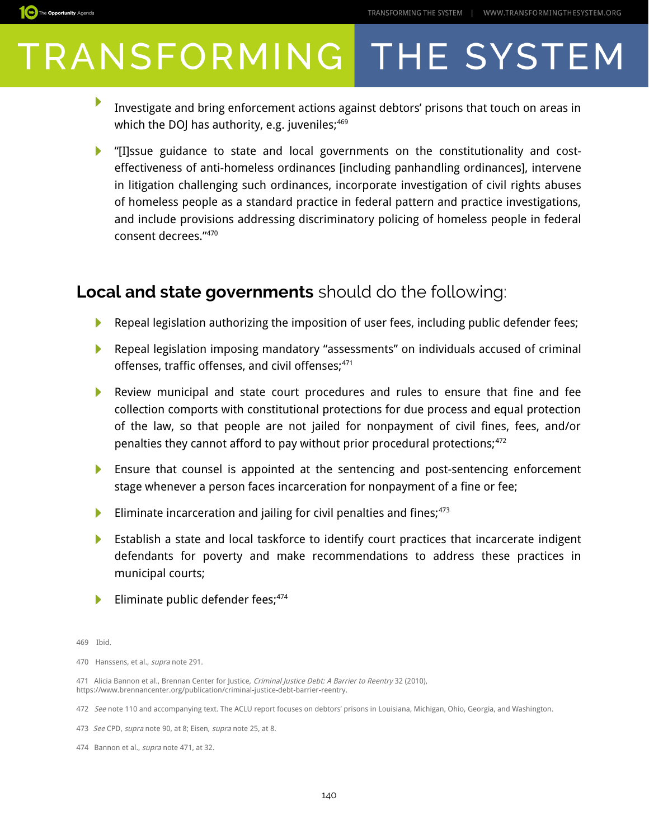

- ▶ Investigate and bring enforcement actions against debtors' prisons that touch on areas in which the DOJ has authority, e.g. juveniles; $469$
- "[I]ssue guidance to state and local governments on the constitutionality and costeffectiveness of anti-homeless ordinances [including panhandling ordinances], intervene in litigation challenging such ordinances, incorporate investigation of civil rights abuses of homeless people as a standard practice in federal pattern and practice investigations, and include provisions addressing discriminatory policing of homeless people in federal consent decrees."[470](#page-2-1)

#### **Local and state governments** should do the following:

- N Repeal legislation authorizing the imposition of user fees, including public defender fees;
- **Repeal legislation imposing mandatory "assessments" on individuals accused of criminal** offenses, traffic offenses, and civil offenses;<sup>[471](#page-2-2)</sup>
- Review municipal and state court procedures and rules to ensure that fine and fee collection comports with constitutional protections for due process and equal protection of the law, so that people are not jailed for nonpayment of civil fines, fees, and/or penalties they cannot afford to pay without prior procedural protections;<sup>[472](#page-2-3)</sup>
- **Ensure that counsel is appointed at the sentencing and post-sentencing enforcement** stage whenever a person faces incarceration for nonpayment of a fine or fee;
- Eliminate incarceration and jailing for civil penalties and fines;  $473$
- ▶ Establish a state and local taskforce to identify court practices that incarcerate indigent defendants for poverty and make recommendations to address these practices in municipal courts;
- ▶ Eliminate public defender fees;<sup>[474](#page-2-5)</sup>

<span id="page-2-1"></span>470 Hanssens, et al., supra note 291.

<span id="page-2-2"></span>471 Alicia Bannon et al., Brennan Center for Justice, Criminal Justice Debt: A Barrier to Reentry 32 (2010), https://www.brennancenter.org/publication/criminal-justice-debt-barrier-reentry.

<span id="page-2-0"></span><sup>469</sup> Ibid.

<span id="page-2-3"></span><sup>472</sup> See note 110 and accompanying text. The ACLU report focuses on debtors' prisons in Louisiana, Michigan, Ohio, Georgia, and Washington.

<span id="page-2-4"></span><sup>473</sup> See CPD, supra note 90, at 8: Eisen, supra note 25, at 8.

<span id="page-2-5"></span><sup>474</sup> Bannon et al., *supra* note 471, at 32.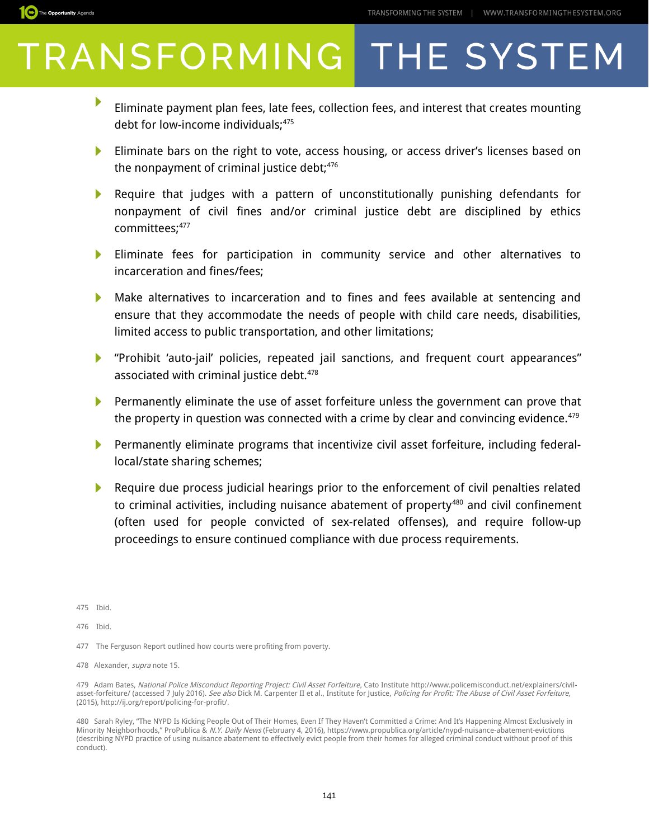

- ▶ Eliminate payment plan fees, late fees, collection fees, and interest that creates mounting debt for low-income individuals;<sup>[475](#page-3-0)</sup>
- Eliminate bars on the right to vote, access housing, or access driver's licenses based on the nonpayment of criminal justice debt; $476$
- Require that judges with a pattern of unconstitutionally punishing defendants for nonpayment of civil fines and/or criminal justice debt are disciplined by ethics committees;<sup>[477](#page-3-2)</sup>
- Þ. Eliminate fees for participation in community service and other alternatives to incarceration and fines/fees;
- $\blacktriangleright$ Make alternatives to incarceration and to fines and fees available at sentencing and ensure that they accommodate the needs of people with child care needs, disabilities, limited access to public transportation, and other limitations;
- "Prohibit 'auto-jail' policies, repeated jail sanctions, and frequent court appearances" associated with criminal justice debt.<sup>[478](#page-3-3)</sup>
- $\blacktriangleright$  Permanently eliminate the use of asset forfeiture unless the government can prove that the property in question was connected with a crime by clear and convincing evidence. $479$
- Permanently eliminate programs that incentivize civil asset forfeiture, including federallocal/state sharing schemes;
- Require due process judicial hearings prior to the enforcement of civil penalties related to criminal activities, including nuisance abatement of property<sup>[480](#page-3-5)</sup> and civil confinement (often used for people convicted of sex-related offenses), and require follow-up proceedings to ensure continued compliance with due process requirements.

<span id="page-3-0"></span>475 Ibid.

The Opportunity Agenda

<span id="page-3-1"></span>476 Ibid.

<span id="page-3-2"></span>477 The Ferguson Report outlined how courts were profiting from poverty.

<span id="page-3-3"></span>478 Alexander, supra note 15.

<span id="page-3-4"></span>479 Adam Bates, National Police Misconduct Reporting Project: Civil Asset Forfeiture, Cato Institute http://www.policemisconduct.net/explainers/civilasset-forfeiture/ (accessed 7 July 2016). See also Dick M. Carpenter II et al., Institute for Justice, Policing for Profit: The Abuse of Civil Asset Forfeiture, (2015), http://ij.org/report/policing-for-profit/.

<span id="page-3-5"></span>480 Sarah Ryley, "The NYPD Is Kicking People Out of Their Homes, Even If They Haven't Committed a Crime: And It's Happening Almost Exclusively in Minority Neighborhoods," ProPublica & N.Y. Daily News (February 4, 2016), https://www.propublica.org/article/nypd-nuisance-abatement-evictions (describing NYPD practice of using nuisance abatement to effectively evict people from their homes for alleged criminal conduct without proof of this conduct).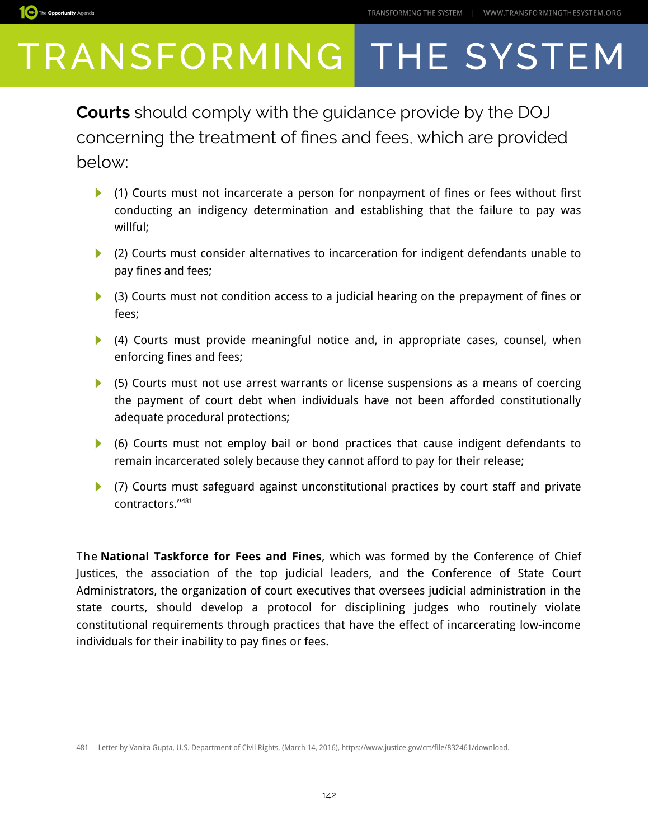

**Courts** should comply with the guidance provide by the DOJ concerning the treatment of fnes and fees, which are provided below:

- (1) Courts must not incarcerate a person for nonpayment of fines or fees without first conducting an indigency determination and establishing that the failure to pay was willful;
- (2) Courts must consider alternatives to incarceration for indigent defendants unable to pay fines and fees;
- ▶ (3) Courts must not condition access to a judicial hearing on the prepayment of fines or fees;
- $\blacktriangleright$  (4) Courts must provide meaningful notice and, in appropriate cases, counsel, when enforcing fines and fees;
- (5) Courts must not use arrest warrants or license suspensions as a means of coercing the payment of court debt when individuals have not been afforded constitutionally adequate procedural protections;
- (6) Courts must not employ bail or bond practices that cause indigent defendants to remain incarcerated solely because they cannot afford to pay for their release;
- (7) Courts must safeguard against unconstitutional practices by court staff and private contractors."[481](#page-4-0)

The **National Taskforce for Fees and Fines**, which was formed by the Conference of Chief Justices, the association of the top judicial leaders, and the Conference of State Court Administrators, the organization of court executives that oversees judicial administration in the state courts, should develop a protocol for disciplining judges who routinely violate constitutional requirements through practices that have the effect of incarcerating low-income individuals for their inability to pay fines or fees.

<span id="page-4-0"></span><sup>481</sup> Letter by Vanita Gupta, U.S. Department of Civil Rights, (March 14, 2016), https://www.justice.gov/crt/file/832461/download.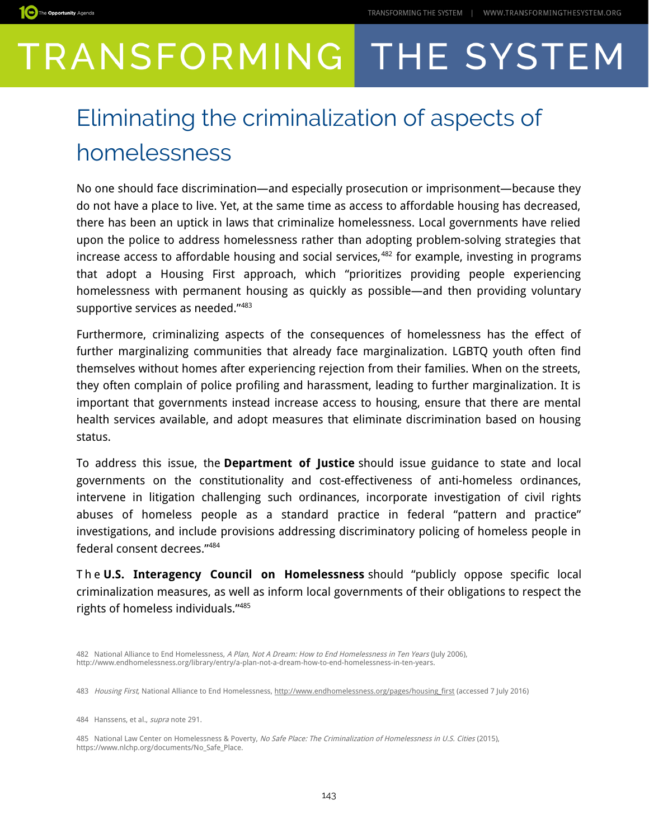

### Eliminating the criminalization of aspects of homelessness

No one should face discrimination—and especially prosecution or imprisonment—because they do not have a place to live. Yet, at the same time as access to affordable housing has decreased, there has been an uptick in laws that criminalize homelessness. Local governments have relied upon the police to address homelessness rather than adopting problem-solving strategies that increase access to affordable housing and social services,<sup>[482](#page-5-0)</sup> for example, investing in programs that adopt a Housing First approach, which "prioritizes providing people experiencing homelessness with permanent housing as quickly as possible—and then providing voluntary supportive services as needed."[483](#page-5-1)

Furthermore, criminalizing aspects of the consequences of homelessness has the effect of further marginalizing communities that already face marginalization. LGBTQ youth often find themselves without homes after experiencing rejection from their families. When on the streets, they often complain of police profiling and harassment, leading to further marginalization. It is important that governments instead increase access to housing, ensure that there are mental health services available, and adopt measures that eliminate discrimination based on housing status.

To address this issue, the **Department of Justice** should issue guidance to state and local governments on the constitutionality and cost-effectiveness of anti-homeless ordinances, intervene in litigation challenging such ordinances, incorporate investigation of civil rights abuses of homeless people as a standard practice in federal "pattern and practice" investigations, and include provisions addressing discriminatory policing of homeless people in federal consent decrees."[484](#page-5-2)

T h e **U.S. Interagency Council on Homelessness** should "publicly oppose specific local criminalization measures, as well as inform local governments of their obligations to respect the rights of homeless individuals."[485](#page-5-3)

<span id="page-5-0"></span><sup>482</sup> National Alliance to End Homelessness, A Plan, Not A Dream: How to End Homelessness in Ten Years (July 2006), http://www.endhomelessness.org/library/entry/a-plan-not-a-dream-how-to-end-homelessness-in-ten-years.

<span id="page-5-1"></span><sup>483</sup> Housing First, National Alliance to End Homelessness, http://www.endhomelessness.org/pages/housing first (accessed 7 July 2016)

<span id="page-5-2"></span><sup>484</sup> Hanssens, et al., *supra* note 291.

<span id="page-5-3"></span><sup>485</sup> National Law Center on Homelessness & Poverty, No Safe Place: The Criminalization of Homelessness in U.S. Cities (2015), https://www.nlchp.org/documents/No\_Safe\_Place.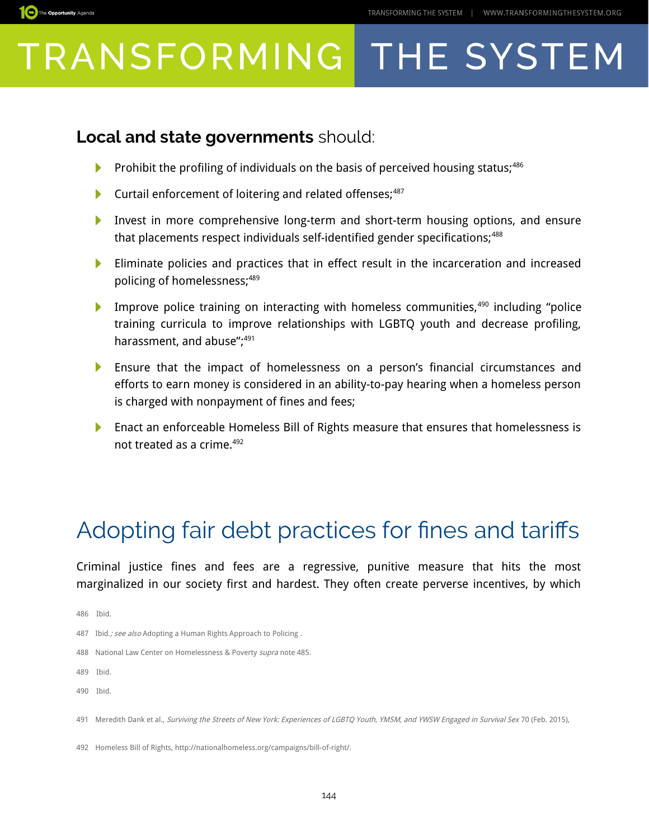#### **Local and state governments** should:

- ▶ Prohibit the profiling of individuals on the basis of perceived housing status;<sup>[486](#page-6-0)</sup>
- Curtail enforcement of loitering and related offenses;<sup>[487](#page-6-1)</sup> ▶
- Invest in more comprehensive long-term and short-term housing options, and ensure ▶ that placements respect individuals self-identified gender specifications;<sup>[488](#page-6-2)</sup>
- Eliminate policies and practices that in effect result in the incarceration and increased Þ policing of homelessness;[489](#page-6-3)
- Improve police training on interacting with homeless communities,  $490$  including "police training curricula to improve relationships with LGBTQ youth and decrease profiling, harassment, and abuse";<sup>[491](#page-6-5)</sup>
- Ensure that the impact of homelessness on a person's financial circumstances and efforts to earn money is considered in an ability-to-pay hearing when a homeless person is charged with nonpayment of fines and fees;
- **Enact an enforceable Homeless Bill of Rights measure that ensures that homelessness is** not treated as a crime.<sup>[492](#page-6-6)</sup>

### Adopting fair debt practices for fnes and tarifs

Criminal justice fines and fees are a regressive, punitive measure that hits the most marginalized in our society first and hardest. They often create perverse incentives, by which

<span id="page-6-0"></span>486 Ibid.

The Opportunity Agenda

- <span id="page-6-1"></span>487 Ibid.; see also Adopting a Human Rights Approach to Policing.
- <span id="page-6-2"></span>488 National Law Center on Homelessness & Poverty supra note 485.

<span id="page-6-3"></span>489 Ibid.

<span id="page-6-4"></span>490 Ibid.

<span id="page-6-5"></span>491 Meredith Dank et al., Surviving the Streets of New York: Experiences of LGBTQ Youth, YMSM, and YWSW Engaged in Survival Sex 70 (Feb. 2015),

<span id="page-6-6"></span>492 Homeless Bill of Rights, http://nationalhomeless.org/campaigns/bill-of-right/.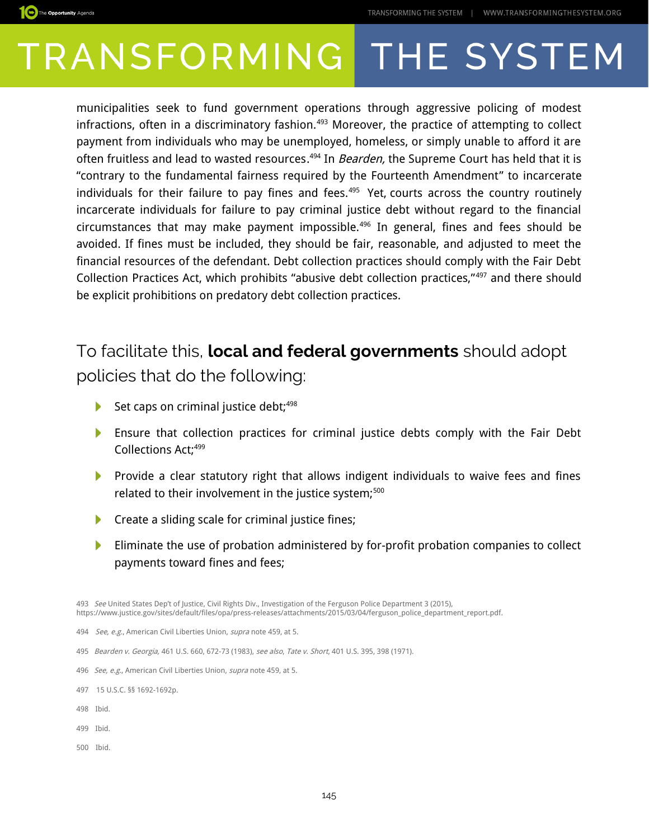

municipalities seek to fund government operations through aggressive policing of modest infractions, often in a discriminatory fashion.<sup>[493](#page-7-0)</sup> Moreover, the practice of attempting to collect payment from individuals who may be unemployed, homeless, or simply unable to afford it are often fruitless and lead to wasted resources.<sup>[494](#page-7-1)</sup> In *Bearden,* the Supreme Court has held that it is "contrary to the fundamental fairness required by the Fourteenth Amendment" to incarcerate individuals for their failure to pay fines and fees.<sup>[495](#page-7-2)</sup> Yet, courts across the country routinely incarcerate individuals for failure to pay criminal justice debt without regard to the financial circumstances that may make payment impossible.[496](#page-7-3) In general, fines and fees should be avoided. If fines must be included, they should be fair, reasonable, and adjusted to meet the financial resources of the defendant. Debt collection practices should comply with the Fair Debt Collection Practices Act, which prohibits "abusive debt collection practices,"[497](#page-7-4) and there should be explicit prohibitions on predatory debt collection practices.

### To facilitate this, **local and federal governments** should adopt policies that do the following:

- Set caps on criminal justice debt;<sup>[498](#page-7-5)</sup> ▶
- Ensure that collection practices for criminal justice debts comply with the Fair Debt Þ Collections Act;<sup>[499](#page-7-6)</sup>
- **Provide a clear statutory right that allows indigent individuals to waive fees and fines** related to their involvement in the justice system;<sup>[500](#page-7-7)</sup>
- $\blacktriangleright$  Create a sliding scale for criminal justice fines;
- Eliminate the use of probation administered by for-profit probation companies to collect ▶ payments toward fines and fees;

<span id="page-7-0"></span>493 See United States Dep't of Justice, Civil Rights Div., Investigation of the Ferguson Police Department 3 (2015), https://www.justice.gov/sites/default/files/opa/press-releases/attachments/2015/03/04/ferguson\_police\_department\_report.pdf.

- <span id="page-7-3"></span>496 See, e.g., American Civil Liberties Union, supra note 459, at 5.
- <span id="page-7-4"></span>497 15 U.S.C. §§ 1692-1692p.
- <span id="page-7-5"></span>498 Ibid.

The Opportunity Agenda

- <span id="page-7-6"></span>499 Ibid.
- <span id="page-7-7"></span>500 Ibid.

<span id="page-7-1"></span><sup>494</sup> See, e.g., American Civil Liberties Union, supra note 459, at 5.

<span id="page-7-2"></span><sup>495</sup> Bearden v. Georgia, 461 U.S. 660, 672-73 (1983), see also, Tate v. Short, 401 U.S. 395, 398 (1971).